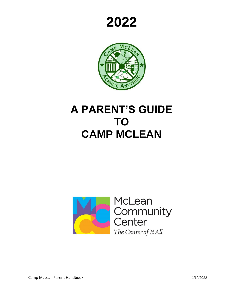



# **A PARENT'S GUIDE TO CAMP MCLEAN**

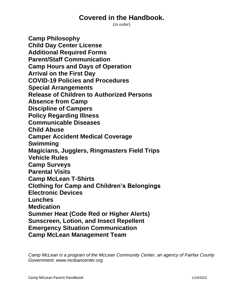# **Covered in the Handbook.**

(in order)

**Camp Philosophy Child Day Center License Additional Required Forms Parent/Staff Communication Camp Hours and Days of Operation Arrival on the First Day COVID-19 Policies and Procedures Special Arrangements Release of Children to Authorized Persons Absence from Camp Discipline of Campers Policy Regarding Illness Communicable Diseases Child Abuse Camper Accident Medical Coverage Swimming Magicians, Jugglers, Ringmasters Field Trips Vehicle Rules Camp Surveys Parental Visits Camp McLean T-Shirts Clothing for Camp and Children's Belongings Electronic Devices Lunches Medication Summer Heat (Code Red or Higher Alerts) Sunscreen, Lotion, and Insect Repellent Emergency Situation Communication Camp McLean Management Team**

*Camp McLean is a program of the McLean Community Center, an agency of Fairfax County Government. www.mcleancenter.org*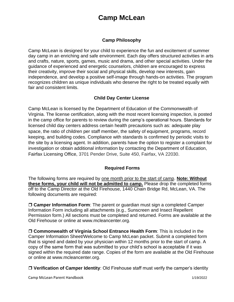# **Camp McLean**

#### **Camp Philosophy**

Camp McLean is designed for your child to experience the fun and excitement of summer day camp in an enriching and safe environment. Each day offers structured activities in arts and crafts, nature, sports, games, music and drama, and other special activities. Under the guidance of experienced and energetic counselors, children are encouraged to express their creativity, improve their social and physical skills, develop new interests, gain independence, and develop a positive self-image through hands-on activities. The program recognizes children as unique individuals who deserve the right to be treated equally with fair and consistent limits.

## **Child Day Center License**

Camp McLean is licensed by the Department of Education of the Commonwealth of Virginia. The license certification, along with the most recent licensing inspection, is posted in the camp office for parents to review during the camp's operational hours. Standards for licensed child day centers address certain health precautions such as: adequate play space, the ratio of children per staff member, the safety of equipment, programs, record keeping, and building codes. Compliance with standards is confirmed by periodic visits to the site by a licensing agent. In addition, parents have the option to register a complaint for investigation or obtain additional information by contacting the Department of Education, Fairfax Licensing Office, 3701 Pender Drive, Suite 450, Fairfax, VA 22030.

#### **Required Forms**

The following forms are required by one month prior to the start of camp. **Note: Without these forms, your child will not be admitted to camp.** Please drop the completed forms off to the Camp Director at the Old Firehouse, [1440 Chain Bridge Rd,](http://maps.google.com/maps?f=q&source=s_q&hl=en&geocode=&q=1440+Chain+Bridge+Rd+Mclean+VA&sll=38.944507,-77.163516&sspn=0.00791,0.012875&ie=UTF8&ll=38.934527,-77.17859&spn=0.007912,0.012875&t=h&z=16) McLean, VA. The following documents are required:

 **Camper Information Form**: The parent or guardian must sign a completed Camper Information Form including all attachments (e.g., Sunscreen and Insect Repellent Permission form.) All sections must be completed and returned. Forms are available at the Old Firehouse or online at www.mcleancenter.org.

 **Commonwealth of Virginia School Entrance Health Form**: This is included in the Camper Information Sheet/Welcome to Camp McLean packet. Submit a completed form that is signed and dated by your physician within 12 months prior to the start of camp. A copy of the same form that was submitted to your child's school is acceptable if it was signed within the required date range. Copies of the form are available at the Old Firehouse or online at [www.mcleancenter.org.](http://www.mcleancenter.org/)

**Verification of Camper Identity**: Old Firehouse staff must verify the camper's identity

Camp McLean Parent Handbook 1/19/2022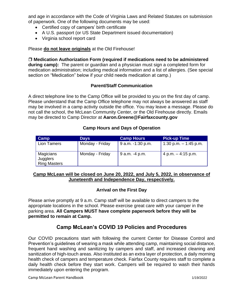and age in accordance with the Code of Virginia Laws and Related Statutes on submission of paperwork. One of the following documents may be used:

- Certified copy of campers' birth certificate
- A U.S. passport (or US State Department issued documentation)
- Virginia school report card

Please **do not leave originals** at the Old Firehouse!

**Medication Authorization Form (required if medications need to be administered** 

**during camp):** The parent or guardian and a physician must sign a completed form for medication administration; including medical information and a list of allergies. (See special section on "Medication" below if your child needs medication at camp.)

#### **Parent/Staff Communication**

A direct telephone line to the Camp Office will be provided to you on the first day of camp. Please understand that the Camp Office telephone may not always be answered as staff may be involved in a camp activity outside the office. You may leave a message. Please do not call the school, the McLean Community Center, or the Old Firehouse directly. Emails may be directed to Camp Director at **Aaron.Greene@Fairfaxcounty.gov**

#### **Camp Hours and Days of Operation**

| <b>Camp</b>                                  | <b>Days</b>     | <b>Camp Hours</b>     | <b>Pick-up Time</b>     |
|----------------------------------------------|-----------------|-----------------------|-------------------------|
| <b>Lion Tamers</b>                           | Monday - Friday | $9$ a.m. $-1:30$ p.m. | 1:30 p.m. $-$ 1:45 p.m. |
| Magicians<br>Jugglers<br><b>Ring Masters</b> | Monday - Friday | 9 a.m. -4 p.m.        | 4 p.m. $-4:15$ p.m.     |

#### **Camp McLean will be closed on June 20, 2022, and July 5, 2022, in observance of Juneteenth and Independence Day, respectively.**

#### **Arrival on the First Day**

Please arrive promptly at 9 a.m. Camp staff will be available to direct campers to the appropriate locations in the school. Please exercise great care with your camper in the parking area. **All Campers MUST have complete paperwork before they will be permitted to remain at Camp.**

# **Camp McLean's COVID 19 Policies and Procedures**

Our COVID precautions start with following the current Center for Disease Control and Prevention's guidelines of wearing a mask while attending camp, maintaining social distance, frequent hand washing and sanitizing by campers and staff, and increased cleaning and sanitization of high-touch areas. Also instituted as an extra layer of protection, a daily morning health check of campers and temperature check. Fairfax County requires staff to complete a daily health check before they start work. Campers will be required to wash their hands immediately upon entering the program.

Camp McLean Parent Handbook 1/19/2022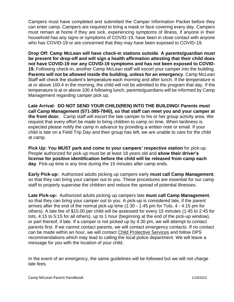Campers must have completed and submitted the Camper Information Packet before they can enter camp. Campers are required to bring a mask or face covering every day. Campers must remain at home if they are sick, experiencing symptoms of illness, if anyone in their household has any signs or symptoms of COVID-19, have been in close contact with anyone who has COVID-19 or are concerned that they may have been exposed to COVID-19.

**Drop Off: Camp McLean will have check-in stations outside**. **A parents/guardian must be present for drop-off and will sign a health affirmation attesting that their child does not have COVID-19 nor any COVID-19 symptoms and has not been exposed to COVID-19.** Following check-in, another Camp McLean staff will escort your camper into the building. **Parents will not be allowed inside the building, unless for an emergency**. Camp McLean Staff will check the student's temperature each morning and after lunch. If the temperature is at or above 100.4 in the morning, the child will not be admitted to the program that day. If the temperature is at or above 100.4 following lunch, parents/guardians will be informed by Camp Management regarding camper pick up.

**Late Arrival: DO NOT SEND YOUR CHILD(REN) INTO THE BUILDING! Parents must call Camp Management (571-385-7840), so that staff can meet you and your camper at the front door.** Camp staff will escort the late camper to his or her group activity area. We request that every effort be made to bring children to camp on time. When tardiness is expected please notify the camp in advance by providing a written note or email. If your child is late on a Field Trip Day and their group has left, we are unable to care for the child at camp.

**Pick Up: You MUST park and come to your campers' respective station** for pick-up. People authorized for pick-up must be at least 18 years old and **show their driver's license for positive identification before the child will be released from camp each day**. Pick-up time is any time during the 15 minutes after camp ends.

**Early Pick-up:** Authorized adults picking up campers early **must call Camp Management**, so that they can bring your camper out to you. These procedures are essential for our camp staff to properly supervise the children and reduce the spread of potential illnesses.

**Late Pick-up:** Authorized adults picking up campers late **must call Camp Management**, so that they can bring your camper out to you. A pick-up is considered late, if the parent arrives after the end of the normal pick-up time (1:30 - 1:45 pm for Tots, 4 - 4:15 pm for others). A late fee of \$15.00 per child will be assessed for every 15 minutes (1:45 to 2:45 for tots, 4:15 to 5:15 for all others), up to 1 hour (beginning at the end of the pick-up window), or part thereof, if late. If a camper is not picked up by 4:30 pm, we will attempt to contact parents first. If we cannot contact parents, we will contact emergency contacts. If no contact can be made within an hour, we will contact Child Protective Services and follow DPS recommendations which may lead to calling the local police department. We will leave a message for you with the location of your child.

In the event of an emergency, the same guidelines will be followed but we will not charge late fees.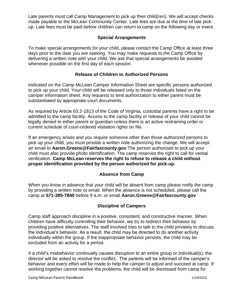Late parents must call Camp Management to pick up their child(ren). We will accept checks made payable to the McLean Community Center. Late fees are due at the time of late pickup. Late fees must be paid before children can return to camp on the following day or event.

#### **Special Arrangements**

To make special arrangements for your child, please contact the Camp Office at least three days prior to the date you are seeking. You may make requests to the Camp Office by delivering a written note with your child. We ask that special arrangements be avoided whenever possible on the first day of each session.

#### **Release of Children to Authorized Persons**

Indicated on the Camp McLean Camper Information Sheet are specific persons authorized to pick up your child. Your child will be released only to those individuals listed on the camper information sheet. Any requests to limit authorization to either parent must be substantiated by appropriate court documents.

As required by Article 63.2-1813 of the Code of Virginia, custodial parents have a right to be admitted to the camp facility. Access to the camp facility or release of your child cannot be legally denied to either parent or guardian unless there is an active restraining order or current schedule of court-ordered visitation rights on file.

If an emergency arises and you require someone other than those authorized persons to pick up your child, you must provide a written note authorizing the change. We will accept an email to **Aaron.Greene@Fairfaxcounty.gov** The person authorized to pick up your child must also provide photo identification. The camp reserves the right to call for verbal verification. **Camp McLean reserves the right to refuse to release a child without proper identification provided by the person authorized for pick-up.**

#### **Absence from Camp**

When you know in advance that your child will be absent from camp please notify the camp by providing a written note or email. When the absence is not scheduled, please call the camp at **571-385-7840** before 9 a.m. or email **Aaron.Greene@Fairfaxcounty.gov**

#### **Discipline of Campers**

Camp staff approach discipline in a positive, consistent, and constructive manner. When children have difficulty controlling their behavior, we try to redirect their behavior by providing positive alternatives. The staff involved tries to talk to the child privately to discuss the individual's behavior. As a result, the child may be directed to do another activity individually within the group. If the inappropriate behavior persists, the child may be excluded from an activity for a period.

If a child's misbehavior continually causes disruption to an entire group or individual(s), the director will be asked to resolve the conflict. The parents will be informed of the camper's behavior and every effort will be made to help the camper to adjust and succeed at camp. If working together cannot resolve the problems, the child will be dismissed from camp for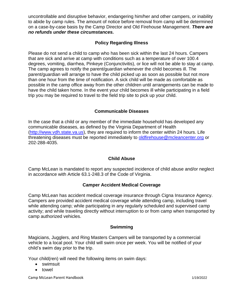uncontrollable and disruptive behavior, endangering him/her and other campers, or inability to abide by camp rules. The amount of notice before removal from camp will be determined on a case-by-case basis by the Camp Director and Old Firehouse Management. *There are no refunds under these circumstances.*

#### **Policy Regarding Illness**

Please do not send a child to camp who has been sick within the last 24 hours. Campers that are sick and arrive at camp with conditions such as a temperature of over 100.4 degrees, vomiting, diarrhea, [Pinkeye \(Conjunctivitis\),](http://kidshealth.org/parent/infections/bacterial_viral/conjunctivitis.html) or lice will not be able to stay at camp. The camp agrees to notify the parent/guardian whenever the child becomes ill. The parent/guardian will arrange to have the child picked up as soon as possible but not more than one hour from the time of notification. A sick child will be made as comfortable as possible in the camp office away from the other children until arrangements can be made to have the child taken home. In the event your child becomes ill while participating in a field trip you may be required to travel to the field trip site to pick up your child.

#### **Communicable Diseases**

In the case that a child or any member of the immediate household has developed any communicable diseases, as defined by the Virginia Department of Health [\(http://www.vdh.state.va.us\)](http://www.vdh.state.va.us/), they are required to inform the center within 24 hours. Life threatening diseases must be reported immediately to oldfirehouse@mcleancenter.org or 202-288-4035.

#### **Child Abuse**

Camp McLean is mandated to report any suspected incidence of child abuse and/or neglect in accordance with Article 63.1-248.3 of the Code of Virginia.

#### **Camper Accident Medical Coverage**

Camp McLean has accident medical coverage insurance through Cigna Insurance Agency. Campers are provided accident medical coverage while attending camp, including travel while attending camp; while participating in any regularly scheduled and supervised camp activity; and while traveling directly without interruption to or from camp when transported by camp authorized vehicles.

#### **Swimming**

Magicians, Jugglers, and Ring Masters Campers will be transported by a commercial vehicle to a local pool. Your child will swim once per week. You will be notified of your child's swim day prior to the trip.

Your child(ren) will need the following items on swim days:

- swimsuit
- towel

Camp McLean Parent Handbook 1/19/2022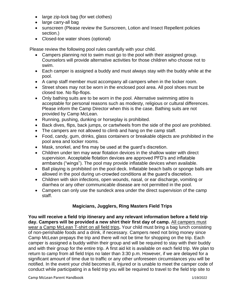- large zip-lock bag (for wet clothes)
- large carry-all bag
- sunscreen (Please review the Sunscreen, Lotion and Insect Repellent policies section.)
- Closed-toe water shoes (optional)

Please review the following pool rules carefully with your child.

- Campers planning not to swim must go to the pool with their assigned group. Counselors will provide alternative activities for those children who choose not to swim.
- Each camper is assigned a buddy and must always stay with the buddy while at the pool.
- A camp staff member must accompany all campers when in the locker room.
- Street shoes may not be worn in the enclosed pool area. All pool shoes must be closed toe. No flip-flops.
- Only bathing suits are to be worn in the pool. Alternative swimming attire is acceptable for personal reasons such as modesty, religious or cultural differences. Please inform the Camp Director when this is the case. Bathing suits are not provided by Camp McLean.
- Running, pushing, dunking or horseplay is prohibited.
- Back dives, flips, back jumps, or cartwheels from the side of the pool are prohibited.
- The campers are not allowed to climb and hang on the camp staff.
- Food, candy, gum, drinks, glass containers or breakable objects are prohibited in the pool area and locker rooms.
- Mask, snorkel, and fins may be used at the guard's discretion.
- Children under ten may wear flotation devices in the shallow water with direct supervision. Acceptable flotation devices are approved PFD's and inflatable armbands ("wings"). The pool may provide inflatable devices when available.
- Ball playing is prohibited on the pool deck. Inflatable beach balls or sponge balls are allowed in the pool during un-crowded conditions at the guard's discretion.
- Children with skin infections, open wounds, nasal, or ear discharge, vomiting or diarrhea or any other communicable disease are not permitted in the pool.
- Campers can only use the sundeck area under the direct supervision of the camp staff.

# **Magicians, Jugglers, Ring Masters Field Trips**

**You will receive a field trip itinerary and any relevant information before a field trip day. Campers will be provided a new shirt their first day of camp.** All campers must wear a Camp McLean T-shirt on all field trips**.** Your child must bring a bag lunch consisting of non-perishable foods and a drink, if necessary. Campers need not bring money since Camp McLean prepays the trip and there will not be time for shopping on the trip. Each camper is assigned a buddy within their group and will be required to stay with their buddy and with their group for the entire trip. A first aid kit is available on each field trip. We plan to return to camp from all field trips no later than 3:30 p.m. However, if we are delayed for a significant amount of time due to traffic or any other unforeseen circumstances you will be notified. In the event your child becomes ill, injured or is unable to meet the camper code of conduct while participating in a field trip you will be required to travel to the field trip site to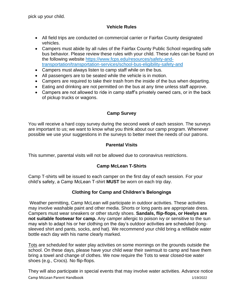pick up your child.

## **Vehicle Rules**

- All field trips are conducted on commercial carrier or Fairfax County designated vehicles.
- Campers must abide by all rules of the Fairfax County Public School regarding safe bus behavior. Please review these rules with your child. These rules can be found on the following website [https://www.fcps.edu/resources/safety-and](https://www.fcps.edu/resources/safety-and-transportation/transportation-services/school-bus-eligibility-safety-and)[transportation/transportation-services/school-bus-eligibility-safety-and](https://www.fcps.edu/resources/safety-and-transportation/transportation-services/school-bus-eligibility-safety-and)
- Campers must always listen to camp staff while on the bus.
- All passengers are to be seated while the vehicle is in motion.
- Campers are required to take their trash from the inside of the bus when departing.
- Eating and drinking are not permitted on the bus at any time unless staff approve.
- Campers are not allowed to ride in camp staff's privately owned cars, or in the back of pickup trucks or wagons.

# **Camp Survey**

You will receive a hard copy survey during the second week of each session. The surveys are important to us; we want to know what you think about our camp program. Whenever possible we use your suggestions in the surveys to better meet the needs of our patrons.

# **Parental Visits**

This summer, parental visits will not be allowed due to coronavirus restrictions.

# **Camp McLean T-Shirts**

Camp T-shirts will be issued to each camper on the first day of each session. For your child's safety, a Camp McLean T-shirt **MUST** be worn on each trip day.

# **Clothing for Camp and Children's Belongings**

Weather permitting, Camp McLean will participate in outdoor activities. These activities may involve washable paint and other media. Shorts or long pants are appropriate dress. Campers must wear sneakers or other sturdy shoes. **Sandals, flip-flops, or Heelys are not suitable footwear for camp.** Any camper allergic to poison ivy or sensitive to the sun may wish to adapt his or her clothing on the day's outdoor activities are scheduled (longsleeved shirt and pants, socks, and hat). We recommend your child bring a refillable water bottle each day with his name clearly marked.

Tots are scheduled for water play activities on some mornings on the grounds outside the school. On these days, please have your child wear their swimsuit to camp and have them bring a towel and change of clothes. We now require the Tots to wear closed-toe water shoes (e.g., Crocs). No flip-flops.

Camp McLean Parent Handbook 1/19/2022 They will also participate in special events that may involve water activities. Advance notice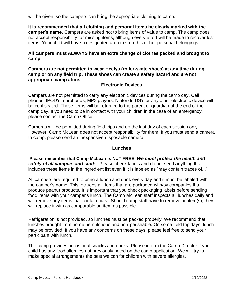will be given, so the campers can bring the appropriate clothing to camp.

**It is recommended that all clothing and personal items be clearly marked with the camper's name**. Campers are asked not to bring items of value to camp. The camp does not accept responsibility for missing items, although every effort will be made to recover lost items. Your child will have a designated area to store his or her personal belongings.

**All campers must ALWAYS have an extra change of clothes packed and brought to camp.**

**Campers are not permitted to wear Heelys (roller-skate shoes) at any time during camp or on any field trip. These shoes can create a safety hazard and are not appropriate camp attire.** 

#### **Electronic Devices**

Campers are not permitted to carry any electronic devices during the camp day. Cell phones, IPOD's, earphones, MP3 players, Nintendo DS's or any other electronic device will be confiscated. These items will be returned to the parent or guardian at the end of the camp day. If you need to be in contact with your children in the case of an emergency, please contact the Camp Office.

Cameras will be permitted during field trips and on the last day of each session only. However, Camp McLean does not accept responsibility for them. If you must send a camera to camp, please send an inexpensive disposable camera.

#### **Lunches**

**Please remember that Camp McLean is NUT FREE**! *We must protect the health and safety of all campers and staff!* Please check labels and do not send anything that includes these items in the ingredient list even if it is labeled as "may contain traces of..."

All campers are required to bring a lunch and drink every day and it must be labeled with the camper's name. This includes all items that are packaged with/by companies that produce peanut products. It is important that you check packaging labels before sending food items with your camper's lunch. The Camp McLean staff inspects all lunches daily and will remove any items that contain nuts. Should camp staff have to remove an item(s), they will replace it with as comparable an item as possible.

Refrigeration is not provided, so lunches must be packed properly. We recommend that lunches brought from home be nutritious and non-perishable. On some field trip days, lunch may be provided. If you have any concerns on these days, please feel free to send your participant with lunch.

The camp provides occasional snacks and drinks. Please inform the Camp Director if your child has any food allergies not previously noted on the camp application. We will try to make special arrangements the best we can for children with severe allergies.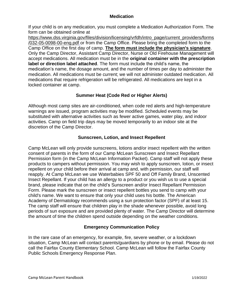#### **Medication**

If your child is on any medication, you must complete a Medication Authorization Form. The form can be obtained online at

[https://www.dss.virginia.gov/files/division/licensing/vrfdh/intro\\_page/current\\_providers/forms](https://www.dss.virginia.gov/files/division/licensing/vrfdh/intro_page/current_providers/forms/032-05-0098-00-eng.pdf) [/032-05-0098-00-eng.pdf](https://www.dss.virginia.gov/files/division/licensing/vrfdh/intro_page/current_providers/forms/032-05-0098-00-eng.pdf) or from the Camp Office. Please bring the completed form to the Camp Office on the first day of camp. **The form must include the physician's signature**. Only the Camp Director, Assistant Camp Director, Nurse or Old Firehouse Management will accept medications. All medication must be in the **original container with the prescription label or direction label attached**. The form must include the child's name, the medication's name, the dosage amount, and the number of times per day to administer the medication. All medications must be current; we will not administer outdated medication. All medications that require refrigeration will be refrigerated. All medications are kept in a locked container at camp.

#### **Summer Heat (Code Red or Higher Alerts)**

Although most camp sites are air-conditioned, when code red alerts and high-temperature warnings are issued, program activities may be modified. Scheduled events may be substituted with alternative activities such as fewer active games, water play, and indoor activities. Camp on field trip days may be moved temporarily to an indoor site at the discretion of the Camp Director.

#### **Sunscreen, Lotion, and Insect Repellent**

Camp McLean will only provide sunscreens, lotions and/or insect repellent with the written consent of parents in the form of our Camp McLean Sunscreen and Insect Repellant Permission form (in the Camp McLean Information Packet). Camp staff will not apply these products to campers without permission. You may wish to apply sunscreen, lotion, or insect repellent on your child before their arrival at camp and, with permission, our staff will reapply. At Camp McLean we use Waterbabies SPF 50 and Off Family Brand, Unscented Insect Repellant. If your child has an allergy to a product or you wish us to use a special brand, please indicate that on the child's Sunscreen and/or Insect Repellant Permission Form. Please mark the sunscreen or insect repellent bottles you send to camp with your child's name. We want to ensure that only your child uses his bottle. The American Academy of Dermatology recommends using a sun protection factor (SPF) of at least 15. The camp staff will ensure that children play in the shade whenever possible, avoid long periods of sun exposure and are provided plenty of water. The Camp Director will determine the amount of time the children spend outside depending on the weather conditions.

#### **Emergency Communication Policy**

In the rare case of an emergency, for example, fire, severe weather, or a lockdown situation, Camp McLean will contact parents/guardians by phone or by email. Please do not call the Fairfax County Elementary School. Camp McLean will follow the Fairfax County Public Schools Emergency Response Plan.